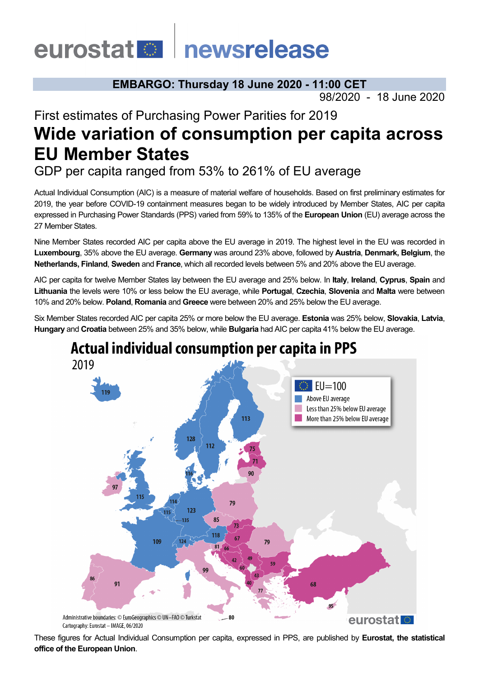# eurostat **Deurostat**

### **EMBARGO: Thursday 18 June 2020 - 11:00 CET**

98/2020 - 18 June 2020

## First estimates of Purchasing Power Parities for 2019 **Wide variation of consumption per capita across EU Member States**

GDP per capita ranged from 53% to 261% of EU average

Actual Individual Consumption (AIC) is a measure of material welfare of households. Based on first preliminary estimates for 2019, the year before COVID-19 containment measures began to be widely introduced by Member States, AIC per capita expressed in Purchasing Power Standards (PPS) varied from 59% to 135% of the **European Union** (EU) average across the 27 Member States.

Nine Member States recorded AIC per capita above the EU average in 2019. The highest level in the EU was recorded in **Luxembourg**, 35% above the EU average. **Germany** was around 23% above, followed by **Austria**, **Denmark, Belgium**, the **Netherlands, Finland**, **Sweden** and **France**, which all recorded levels between 5% and 20% above the EU average.

AIC per capita for twelve Member States lay between the EU average and 25% below. In **Italy**, **Ireland**, **Cyprus**, **Spain** and **Lithuania** the levels were 10% or less below the EU average, while **Portugal**, **Czechia**, **Slovenia** and **Malta** were between 10% and 20% below. **Poland**, **Romania** and **Greece** were between 20% and 25% below the EU average.

Six Member States recorded AIC per capita 25% or more below the EU average. **Estonia** was 25% below, **Slovakia**, **Latvia**, **Hungary** and **Croatia** between 25% and 35% below, while **Bulgaria** had AIC per capita 41% below the EU average.



These figures for Actual Individual Consumption per capita, expressed in PPS, are published by **Eurostat, the statistical office of the European Union**.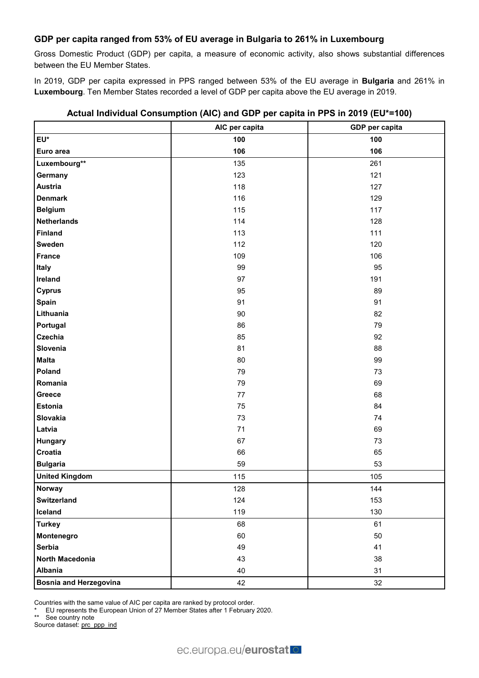#### **GDP per capita ranged from 53% of EU average in Bulgaria to 261% in Luxembourg**

Gross Domestic Product (GDP) per capita, a measure of economic activity, also shows substantial differences between the EU Member States.

In 2019, GDP per capita expressed in PPS ranged between 53% of the EU average in **Bulgaria** and 261% in **Luxembourg**. Ten Member States recorded a level of GDP per capita above the EU average in 2019.

|                               | AIC per capita | GDP per capita |
|-------------------------------|----------------|----------------|
| EU*                           | 100            | 100            |
| Euro area                     | 106            | 106            |
| Luxembourg**                  | 135            | 261            |
| Germany                       | 123            | 121            |
| <b>Austria</b>                | 118            | 127            |
| <b>Denmark</b>                | 116            | 129            |
| <b>Belgium</b>                | 115            | 117            |
| <b>Netherlands</b>            | 114            | 128            |
| <b>Finland</b>                | 113            | 111            |
| Sweden                        | 112            | 120            |
| <b>France</b>                 | 109            | 106            |
| Italy                         | 99             | 95             |
| Ireland                       | 97             | 191            |
| <b>Cyprus</b>                 | 95             | 89             |
| <b>Spain</b>                  | 91             | 91             |
| Lithuania                     | $90\,$         | 82             |
| Portugal                      | 86             | 79             |
| Czechia                       | 85             | 92             |
| Slovenia                      | 81             | 88             |
| <b>Malta</b>                  | 80             | 99             |
| Poland                        | 79             | 73             |
| Romania                       | 79             | 69             |
| Greece                        | 77             | 68             |
| <b>Estonia</b>                | 75             | 84             |
| Slovakia                      | 73             | 74             |
| Latvia                        | 71             | 69             |
| Hungary                       | 67             | 73             |
| Croatia                       | 66             | 65             |
| <b>Bulgaria</b>               | 59             | 53             |
| <b>United Kingdom</b>         | 115            | 105            |
| <b>Norway</b>                 | 128            | 144            |
| <b>Switzerland</b>            | 124            | 153            |
| Iceland                       | 119            | 130            |
| <b>Turkey</b>                 | 68             | 61             |
| Montenegro                    | 60             | 50             |
| Serbia                        | 49             | 41             |
| North Macedonia               | 43             | 38             |
| <b>Albania</b>                | 40             | 31             |
| <b>Bosnia and Herzegovina</b> | 42             | 32             |

#### **Actual Individual Consumption (AIC) and GDP per capita in PPS in 2019 (EU\*=100)**

Countries with the same value of AIC per capita are ranked by protocol order.

EU represents the European Union of 27 Member States after 1 February 2020.

\*\* See country note

Source dataset: [prc\\_ppp\\_ind](https://appsso.eurostat.ec.europa.eu/nui/show.do?query=BOOKMARK_DS-053404_QID_1A8671D_UID_-3F171EB0&layout=TIME,C,X,0;GEO,L,Y,0;NA_ITEM,L,Z,0;PPP_CAT,L,Z,1;INDICATORS,C,Z,2;&zSelection=DS-053404PPP_CAT,A01;DS-053404INDICATORS,OBS_FLAG;DS-053404NA_ITEM,VI_PPS_EU27_2020_HAB;&rankName1=PPP-CAT_1_2_-1_2&rankName2=INDICATORS_1_2_-1_2&rankName3=NA-ITEM_1_2_-1_2&rankName4=TIME_1_0_0_0&rankName5=GEO_1_2_0_1&sortC=ASC_-1_FIRST&rStp=&cStp=&rDCh=&cDCh=&rDM=true&cDM=true&footnes=false&empty=false&wai=false&time_mode=ROLLING&time_most_recent=true&lang=EN&cfo=%23%23%23%2C%23%23%23.%23%23%23)